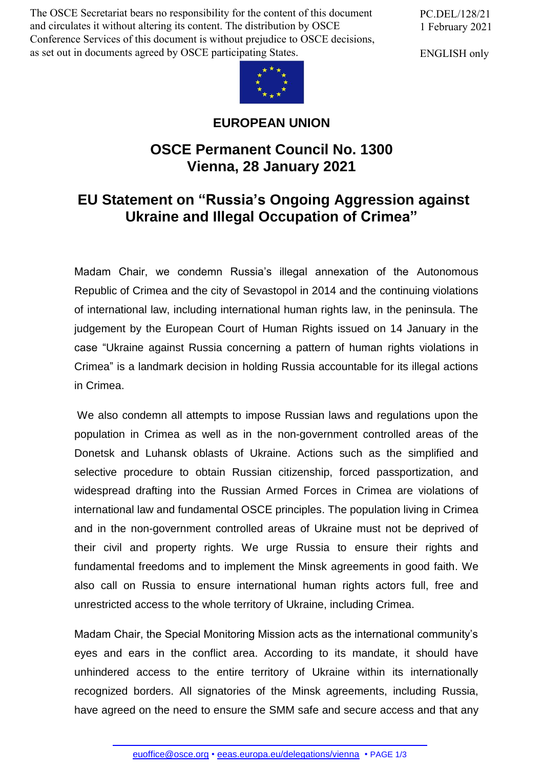The OSCE Secretariat bears no responsibility for the content of this document and circulates it without altering its content. The distribution by OSCE Conference Services of this document is without prejudice to OSCE decisions, as set out in documents agreed by OSCE participating States.

PC.DEL/128/21 1 February 2021

ENGLISH only



## **EUROPEAN UNION**

## **OSCE Permanent Council No. 1300 Vienna, 28 January 2021**

## **EU Statement on "Russia's Ongoing Aggression against Ukraine and Illegal Occupation of Crimea"**

Madam Chair, we condemn Russia's illegal annexation of the Autonomous Republic of Crimea and the city of Sevastopol in 2014 and the continuing violations of international law, including international human rights law, in the peninsula. The judgement by the European Court of Human Rights issued on 14 January in the case "Ukraine against Russia concerning a pattern of human rights violations in Crimea" is a landmark decision in holding Russia accountable for its illegal actions in Crimea.

We also condemn all attempts to impose Russian laws and regulations upon the population in Crimea as well as in the non-government controlled areas of the Donetsk and Luhansk oblasts of Ukraine. Actions such as the simplified and selective procedure to obtain Russian citizenship, forced passportization, and widespread drafting into the Russian Armed Forces in Crimea are violations of international law and fundamental OSCE principles. The population living in Crimea and in the non-government controlled areas of Ukraine must not be deprived of their civil and property rights. We urge Russia to ensure their rights and fundamental freedoms and to implement the Minsk agreements in good faith. We also call on Russia to ensure international human rights actors full, free and unrestricted access to the whole territory of Ukraine, including Crimea.

Madam Chair, the Special Monitoring Mission acts as the international community's eyes and ears in the conflict area. According to its mandate, it should have unhindered access to the entire territory of Ukraine within its internationally recognized borders. All signatories of the Minsk agreements, including Russia, have agree[d on the need to](mailto:euoffice@osce.org) ensure [the SMM safe and secu](http://eeas.europa.eu/delegations/vienna)re access and that any

euoffice@osce.org • eeas.europa.eu/delegations/vienna • PAGE 1/3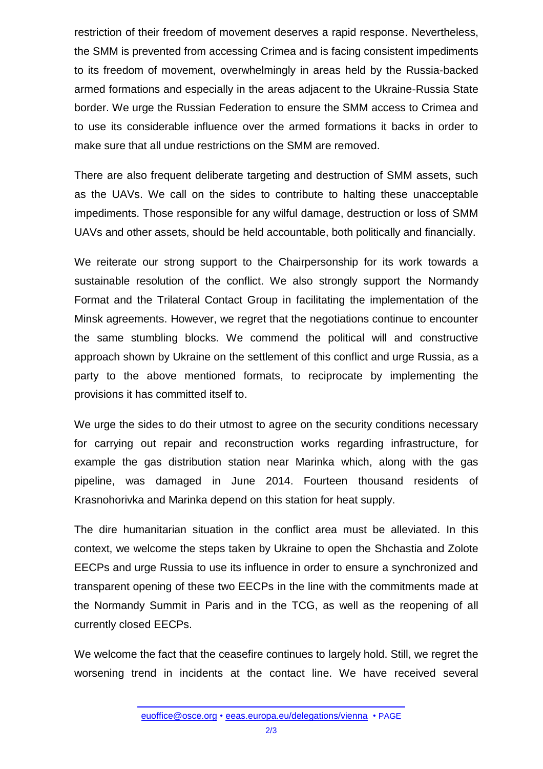restriction of their freedom of movement deserves a rapid response. Nevertheless, the SMM is prevented from accessing Crimea and is facing consistent impediments to its freedom of movement, overwhelmingly in areas held by the Russia-backed armed formations and especially in the areas adjacent to the Ukraine-Russia State border. We urge the Russian Federation to ensure the SMM access to Crimea and to use its considerable influence over the armed formations it backs in order to make sure that all undue restrictions on the SMM are removed.

There are also frequent deliberate targeting and destruction of SMM assets, such as the UAVs. We call on the sides to contribute to halting these unacceptable impediments. Those responsible for any wilful damage, destruction or loss of SMM UAVs and other assets, should be held accountable, both politically and financially.

We reiterate our strong support to the Chairpersonship for its work towards a sustainable resolution of the conflict. We also strongly support the Normandy Format and the Trilateral Contact Group in facilitating the implementation of the Minsk agreements. However, we regret that the negotiations continue to encounter the same stumbling blocks. We commend the political will and constructive approach shown by Ukraine on the settlement of this conflict and urge Russia, as a party to the above mentioned formats, to reciprocate by implementing the provisions it has committed itself to.

We urge the sides to do their utmost to agree on the security conditions necessary for carrying out repair and reconstruction works regarding infrastructure, for example the gas distribution station near Marinka which, along with the gas pipeline, was damaged in June 2014. Fourteen thousand residents of Krasnohorivka and Marinka depend on this station for heat supply.

The dire humanitarian situation in the conflict area must be alleviated. In this context, we welcome the steps taken by Ukraine to open the Shchastia and Zolote EECPs and urge Russia to use its influence in order to ensure a synchronized and transparent opening of these two EECPs in the line with the commitments made at the Normandy Summit in Paris and in the TCG, as well as the reopening of all currently closed EECPs.

We welcome the fact that the ceasefire continues to largely hold. Still, we regret the worsening trend in incidents at the contact line. We have received several